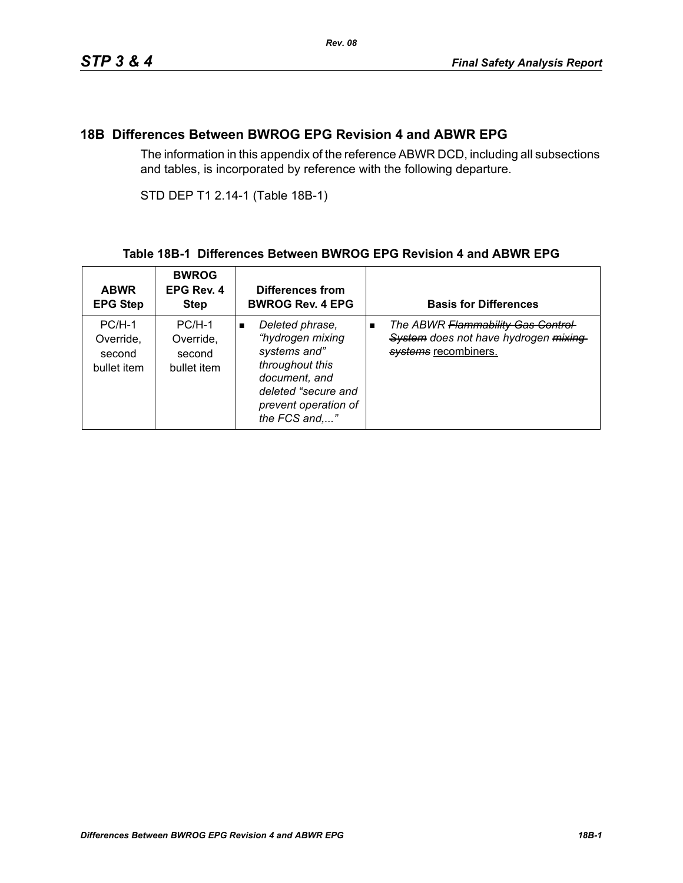### **18B Differences Between BWROG EPG Revision 4 and ABWR EPG**

The information in this appendix of the reference ABWR DCD, including all subsections and tables, is incorporated by reference with the following departure.

STD DEP T1 2.14-1 (Table 18B-1)

### **Table 18B-1 Differences Between BWROG EPG Revision 4 and ABWR EPG**

| <b>ABWR</b><br><b>EPG Step</b>                 | <b>BWROG</b><br>EPG Rev. 4<br><b>Step</b>      | Differences from<br><b>BWROG Rev. 4 EPG</b>                                                                                                                               | <b>Basis for Differences</b>                                                                                         |
|------------------------------------------------|------------------------------------------------|---------------------------------------------------------------------------------------------------------------------------------------------------------------------------|----------------------------------------------------------------------------------------------------------------------|
| $PC/H-1$<br>Override,<br>second<br>bullet item | $PC/H-1$<br>Override.<br>second<br>bullet item | Deleted phrase,<br>$\blacksquare$<br>"hydrogen mixing<br>systems and"<br>throughout this<br>document, and<br>deleted "secure and<br>prevent operation of<br>the FCS and," | The ABWR Flammability Gas Control-<br>$\blacksquare$<br>System does not have hydrogen mixing<br>systems recombiners. |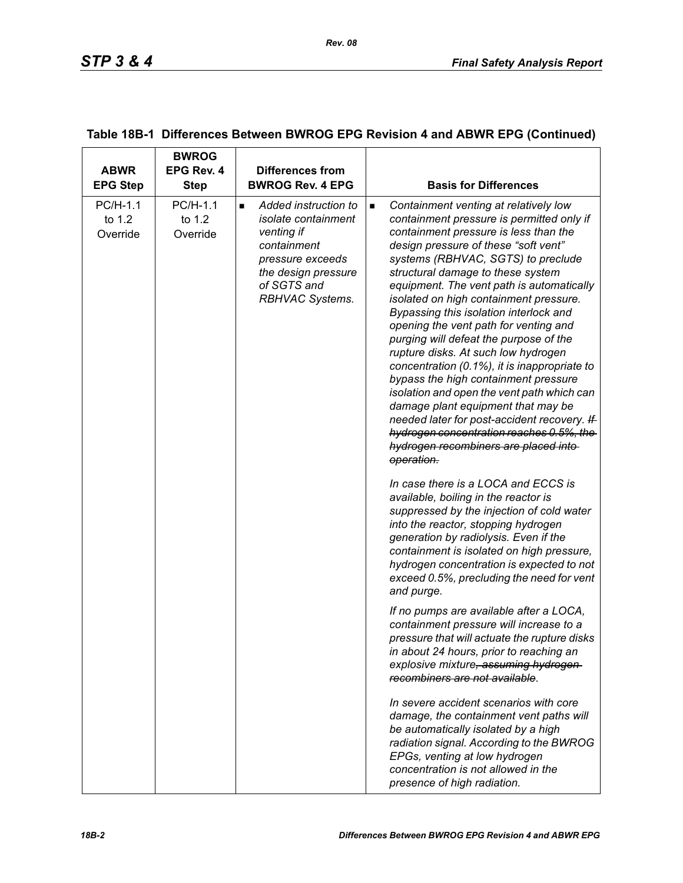| <b>ABWR</b><br><b>EPG Step</b> | <b>BWROG</b><br><b>EPG Rev. 4</b><br><b>Step</b> | <b>Differences from</b><br><b>BWROG Rev. 4 EPG</b>                                                                                                                      | <b>Basis for Differences</b>                                                                                                                                                                                                                                                                                                                                                                                                                                                                                                                                                                                                                                                                                                                                                                                                                              |
|--------------------------------|--------------------------------------------------|-------------------------------------------------------------------------------------------------------------------------------------------------------------------------|-----------------------------------------------------------------------------------------------------------------------------------------------------------------------------------------------------------------------------------------------------------------------------------------------------------------------------------------------------------------------------------------------------------------------------------------------------------------------------------------------------------------------------------------------------------------------------------------------------------------------------------------------------------------------------------------------------------------------------------------------------------------------------------------------------------------------------------------------------------|
| PC/H-1.1<br>to 1.2<br>Override | PC/H-1.1<br>to 1.2<br>Override                   | Added instruction to<br>$\blacksquare$<br>isolate containment<br>venting if<br>containment<br>pressure exceeds<br>the design pressure<br>of SGTS and<br>RBHVAC Systems. | Containment venting at relatively low<br>$\blacksquare$<br>containment pressure is permitted only if<br>containment pressure is less than the<br>design pressure of these "soft vent"<br>systems (RBHVAC, SGTS) to preclude<br>structural damage to these system<br>equipment. The vent path is automatically<br>isolated on high containment pressure.<br>Bypassing this isolation interlock and<br>opening the vent path for venting and<br>purging will defeat the purpose of the<br>rupture disks. At such low hydrogen<br>concentration (0.1%), it is inappropriate to<br>bypass the high containment pressure<br>isolation and open the vent path which can<br>damage plant equipment that may be<br>needed later for post-accident recovery. If<br>hydrogen concentration reaches 0.5%, the<br>hydrogen recombiners are placed into-<br>operation. |
|                                |                                                  |                                                                                                                                                                         | In case there is a LOCA and ECCS is<br>available, boiling in the reactor is<br>suppressed by the injection of cold water<br>into the reactor, stopping hydrogen<br>generation by radiolysis. Even if the<br>containment is isolated on high pressure,<br>hydrogen concentration is expected to not<br>exceed 0.5%, precluding the need for vent<br>and purge.                                                                                                                                                                                                                                                                                                                                                                                                                                                                                             |
|                                |                                                  |                                                                                                                                                                         | If no pumps are available after a LOCA,<br>containment pressure will increase to a<br>pressure that will actuate the rupture disks<br>in about 24 hours, prior to reaching an<br>explosive mixture, assuming hydrogen-<br>recombiners are not available.                                                                                                                                                                                                                                                                                                                                                                                                                                                                                                                                                                                                  |
|                                |                                                  |                                                                                                                                                                         | In severe accident scenarios with core<br>damage, the containment vent paths will<br>be automatically isolated by a high<br>radiation signal. According to the BWROG<br>EPGs, venting at low hydrogen<br>concentration is not allowed in the<br>presence of high radiation.                                                                                                                                                                                                                                                                                                                                                                                                                                                                                                                                                                               |

### **Table 18B-1 Differences Between BWROG EPG Revision 4 and ABWR EPG (Continued)**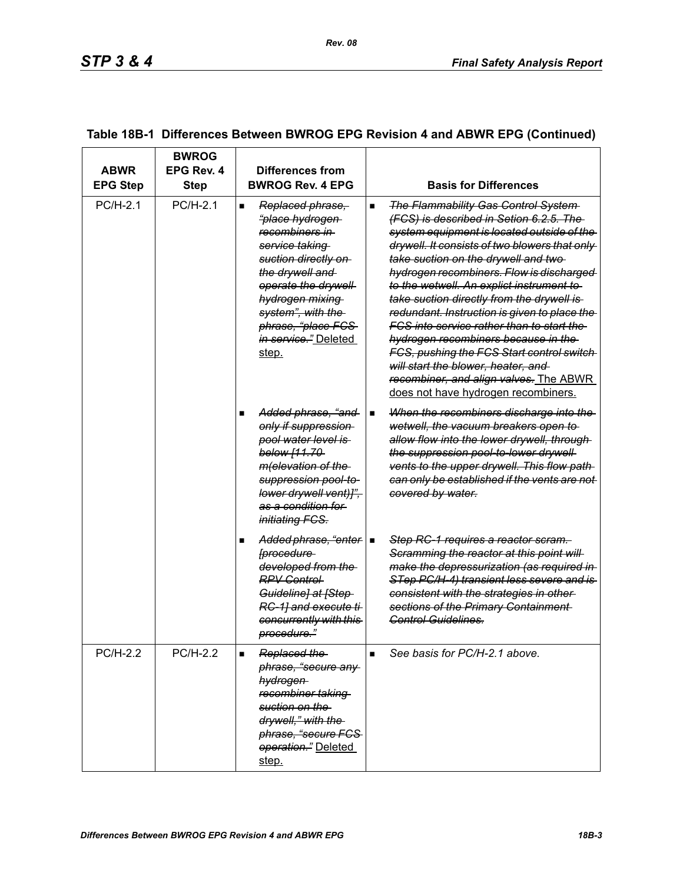| <b>ABWR</b><br><b>EPG Step</b> | <b>BWROG</b><br>EPG Rev. 4<br>Step | Differences from<br><b>BWROG Rev. 4 EPG</b>                                                                                                                                                                                                                                  | <b>Basis for Differences</b>                                                                                                                                                                                                                                                                                                                                                                                                                                                                                                                                                                                                                                                                         |
|--------------------------------|------------------------------------|------------------------------------------------------------------------------------------------------------------------------------------------------------------------------------------------------------------------------------------------------------------------------|------------------------------------------------------------------------------------------------------------------------------------------------------------------------------------------------------------------------------------------------------------------------------------------------------------------------------------------------------------------------------------------------------------------------------------------------------------------------------------------------------------------------------------------------------------------------------------------------------------------------------------------------------------------------------------------------------|
| PC/H-2.1                       | PC/H-2.1                           | Replaced phrase,<br>$\blacksquare$<br>"place hydrogen<br>recombiners in<br><del>service taking</del><br>suction directly on<br>the drywell and<br>operate the drywell<br>hydrogen mixing<br>system", with the<br>phrase, "place FCS<br><i>in service.</i> " Deleted<br>step. | <b>The Flammability Gas Control System-</b><br>$\blacksquare$<br>(FCS) is described in Setion 6.2.5. The<br>system equipment is located outside of the<br>drywell. It consists of two blowers that only<br>take suction on the drywell and two-<br>hydrogen recombiners. Flow is discharged<br>to the wetwell. An explict instrument to<br>take suction directly from the drywell is<br>redundant. Instruction is given to place the<br><u>FCS into service rather than to start the </u><br>hydrogen recombiners because in the<br>FCS, pushing the FCS Start control switch<br>will start the blower, heater, and<br>recombiner, and align valves. The ABWR<br>does not have hydrogen recombiners. |
|                                |                                    | Added phrase, "and<br>only if suppression<br>pool water level is<br>below [11.70-<br>m(elevation of the<br>suppression pool-to-<br>lower drywell vent)]",<br>as a condition for<br><i>initiating FCS.</i>                                                                    | When the recombiners discharge into the<br>$\blacksquare$<br>wetwell, the vacuum breakers open to<br>allow flow into the lower drywell, through<br>the suppression pool-to-lower drywell-<br>vents to the upper drywell. This flow path-<br>can only be established if the vents are not<br>covered by water.                                                                                                                                                                                                                                                                                                                                                                                        |
|                                |                                    | Added phrase, "enter   ■<br>[procedure<br>developed from the<br><b>RPV Control</b><br>Guideline] at [Step-<br>RC-1] and execute ti-<br>concurrently with this<br>procedure."                                                                                                 | Step RC-1 requires a reactor scram.<br>Scramming the reactor at this point will<br>make the depressurization (as required in<br>STep PC/H-4) transient less severe and is<br>consistent with the strategies in other-<br>sections of the Primary Containment<br>Control Guidelines.                                                                                                                                                                                                                                                                                                                                                                                                                  |
| <b>PC/H-2.2</b>                | <b>PC/H-2.2</b>                    | Replaced the<br>phrase, "secure any<br>hydrogen<br>recombiner taking<br>suction on the<br>drywell," with the<br>phrase, "secure FCS-<br>operation." Deleted<br>step.                                                                                                         | See basis for PC/H-2.1 above.<br>$\blacksquare$                                                                                                                                                                                                                                                                                                                                                                                                                                                                                                                                                                                                                                                      |

# **Table 18B-1 Differences Between BWROG EPG Revision 4 and ABWR EPG (Continued)**